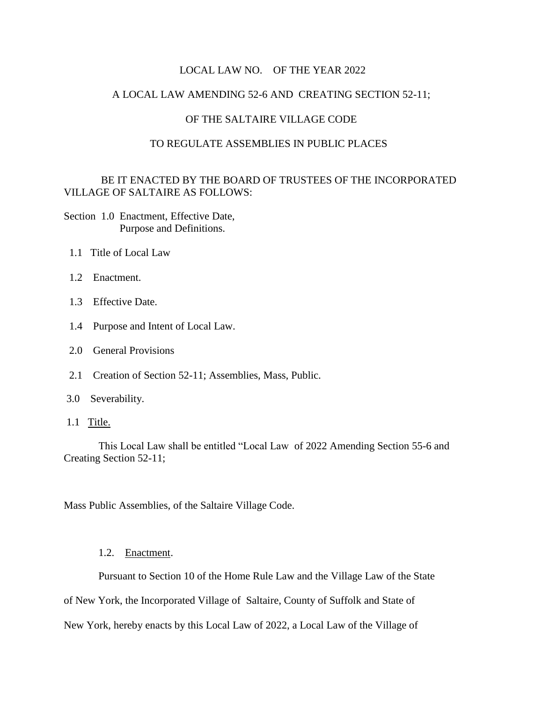#### LOCAL LAW NO. OF THE YEAR 2022

## A LOCAL LAW AMENDING 52-6 AND CREATING SECTION 52-11;

## OF THE SALTAIRE VILLAGE CODE

#### TO REGULATE ASSEMBLIES IN PUBLIC PLACES

## BE IT ENACTED BY THE BOARD OF TRUSTEES OF THE INCORPORATED VILLAGE OF SALTAIRE AS FOLLOWS:

Section 1.0 Enactment, Effective Date, Purpose and Definitions.

- 1.1 Title of Local Law
- 1.2 Enactment.
- 1.3 Effective Date.
- 1.4 Purpose and Intent of Local Law.
- 2.0 General Provisions
- 2.1 Creation of Section 52-11; Assemblies, Mass, Public.
- 3.0 Severability.
- 1.1 Title.

 This Local Law shall be entitled "Local Law of 2022 Amending Section 55-6 and Creating Section 52-11;

Mass Public Assemblies, of the Saltaire Village Code.

#### 1.2. Enactment.

Pursuant to Section 10 of the Home Rule Law and the Village Law of the State

of New York, the Incorporated Village of Saltaire, County of Suffolk and State of

New York, hereby enacts by this Local Law of 2022, a Local Law of the Village of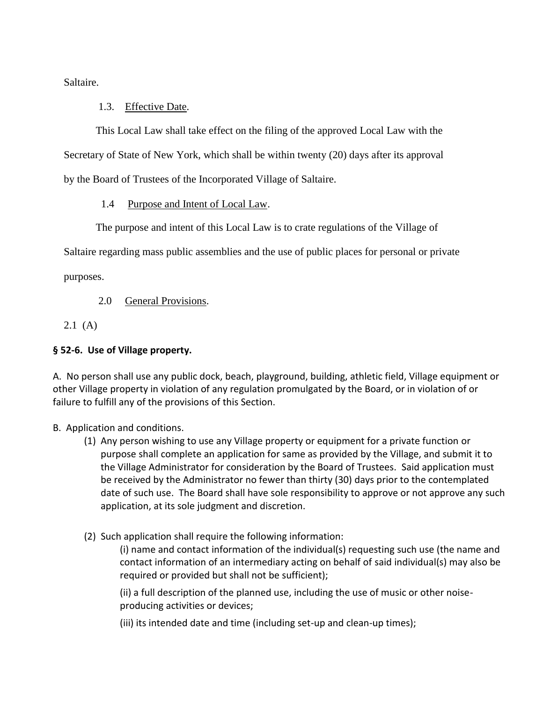Saltaire.

# 1.3. Effective Date.

 This Local Law shall take effect on the filing of the approved Local Law with the Secretary of State of New York, which shall be within twenty (20) days after its approval by the Board of Trustees of the Incorporated Village of Saltaire.

1.4 Purpose and Intent of Local Law.

The purpose and intent of this Local Law is to crate regulations of the Village of

Saltaire regarding mass public assemblies and the use of public places for personal or private

purposes.

2.0 General Provisions.

2.1 (A)

# **§ 52-6. Use of Village property.**

A.No person shall use any public dock, beach, playground, building, athletic field, Village equipment or other Village property in violation of any regulation promulgated by the Board, or in violation of or failure to fulfill any of the provisions of this Section.

B. Application and conditions.

- (1) Any person wishing to use any Village property or equipment for a private function or purpose shall complete an application for same as provided by the Village, and submit it to the Village Administrator for consideration by the Board of Trustees. Said application must be received by the Administrator no fewer than thirty (30) days prior to the contemplated date of such use. The Board shall have sole responsibility to approve or not approve any such application, at its sole judgment and discretion.
- (2) Such application shall require the following information:

(i) name and contact information of the individual(s) requesting such use (the name and contact information of an intermediary acting on behalf of said individual(s) may also be required or provided but shall not be sufficient);

(ii) a full description of the planned use, including the use of music or other noiseproducing activities or devices;

(iii) its intended date and time (including set-up and clean-up times);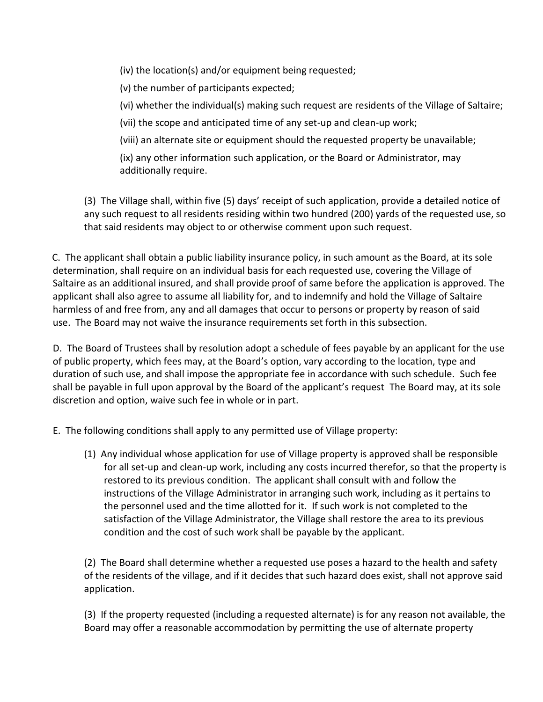(iv) the location(s) and/or equipment being requested;

(v) the number of participants expected;

(vi) whether the individual(s) making such request are residents of the Village of Saltaire;

(vii) the scope and anticipated time of any set-up and clean-up work;

(viii) an alternate site or equipment should the requested property be unavailable;

(ix) any other information such application, or the Board or Administrator, may additionally require.

(3) The Village shall, within five (5) days' receipt of such application, provide a detailed notice of any such request to all residents residing within two hundred (200) yards of the requested use, so that said residents may object to or otherwise comment upon such request.

C. The applicant shall obtain a public liability insurance policy, in such amount as the Board, at its sole determination, shall require on an individual basis for each requested use, covering the Village of Saltaire as an additional insured, and shall provide proof of same before the application is approved. The applicant shall also agree to assume all liability for, and to indemnify and hold the Village of Saltaire harmless of and free from, any and all damages that occur to persons or property by reason of said use. The Board may not waive the insurance requirements set forth in this subsection.

D. The Board of Trustees shall by resolution adopt a schedule of fees payable by an applicant for the use of public property, which fees may, at the Board's option, vary according to the location, type and duration of such use, and shall impose the appropriate fee in accordance with such schedule. Such fee shall be payable in full upon approval by the Board of the applicant's request The Board may, at its sole discretion and option, waive such fee in whole or in part.

E. The following conditions shall apply to any permitted use of Village property:

(1) Any individual whose application for use of Village property is approved shall be responsible for all set-up and clean-up work, including any costs incurred therefor, so that the property is restored to its previous condition. The applicant shall consult with and follow the instructions of the Village Administrator in arranging such work, including as it pertains to the personnel used and the time allotted for it. If such work is not completed to the satisfaction of the Village Administrator, the Village shall restore the area to its previous condition and the cost of such work shall be payable by the applicant.

(2) The Board shall determine whether a requested use poses a hazard to the health and safety of the residents of the village, and if it decides that such hazard does exist, shall not approve said application.

(3) If the property requested (including a requested alternate) is for any reason not available, the Board may offer a reasonable accommodation by permitting the use of alternate property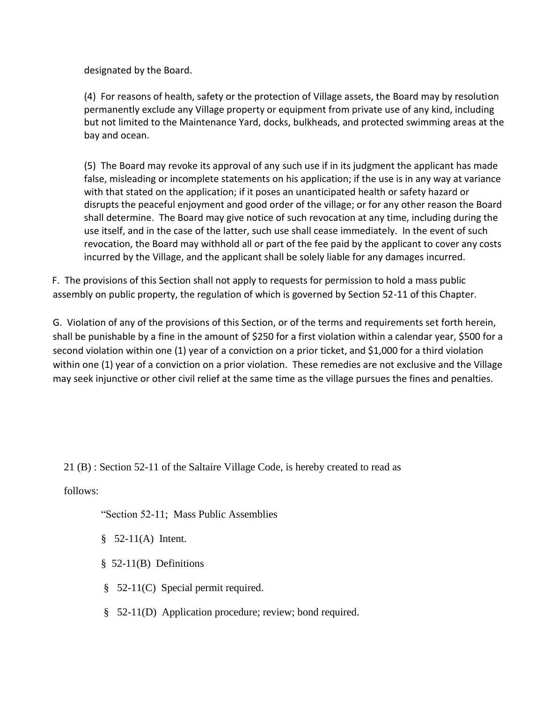designated by the Board.

(4) For reasons of health, safety or the protection of Village assets, the Board may by resolution permanently exclude any Village property or equipment from private use of any kind, including but not limited to the Maintenance Yard, docks, bulkheads, and protected swimming areas at the bay and ocean.

(5) The Board may revoke its approval of any such use if in its judgment the applicant has made false, misleading or incomplete statements on his application; if the use is in any way at variance with that stated on the application; if it poses an unanticipated health or safety hazard or disrupts the peaceful enjoyment and good order of the village; or for any other reason the Board shall determine. The Board may give notice of such revocation at any time, including during the use itself, and in the case of the latter, such use shall cease immediately. In the event of such revocation, the Board may withhold all or part of the fee paid by the applicant to cover any costs incurred by the Village, and the applicant shall be solely liable for any damages incurred.

F. The provisions of this Section shall not apply to requests for permission to hold a mass public assembly on public property, the regulation of which is governed by Section 52-11 of this Chapter.

G. Violation of any of the provisions of this Section, or of the terms and requirements set forth herein, shall be punishable by a fine in the amount of \$250 for a first violation within a calendar year, \$500 for a second violation within one (1) year of a conviction on a prior ticket, and \$1,000 for a third violation within one (1) year of a conviction on a prior violation. These remedies are not exclusive and the Village may seek injunctive or other civil relief at the same time as the village pursues the fines and penalties.

21 (B) : Section 52-11 of the Saltaire Village Code, is hereby created to read as

follows:

"Section 52-11; Mass Public Assemblies

- $§$  52-11(A) Intent.
- § 52-11(B) Definitions
- § 52-11(C) Special permit required.
- § 52-11(D) Application procedure; review; bond required.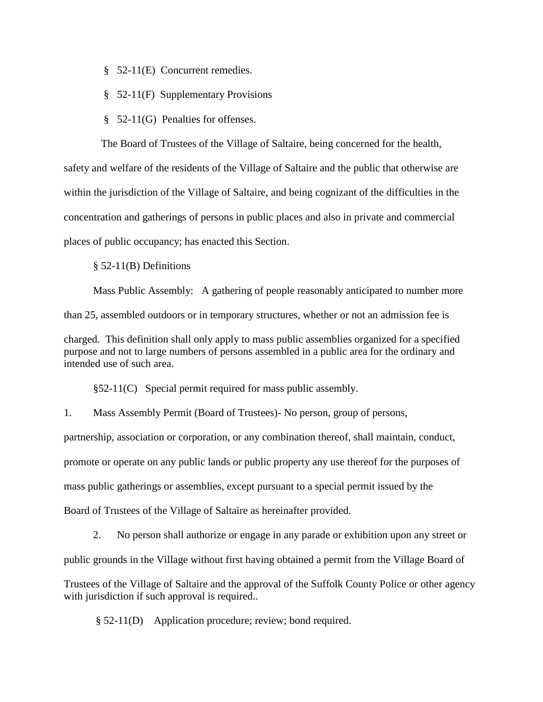- § 52-11(E) Concurrent remedies.
- § 52-11(F) Supplementary Provisions
- § 52-11(G) Penalties for offenses.

 The Board of Trustees of the Village of Saltaire, being concerned for the health, safety and welfare of the residents of the Village of Saltaire and the public that otherwise are within the jurisdiction of the Village of Saltaire, and being cognizant of the difficulties in the concentration and gatherings of persons in public places and also in private and commercial places of public occupancy; has enacted this Section.

§ 52-11(B) Definitions

 Mass Public Assembly: A gathering of people reasonably anticipated to number more than 25, assembled outdoors or in temporary structures, whether or not an admission fee is charged.This definition shall only apply to mass public assemblies organized for a specified purpose and not to large numbers of persons assembled in a public area for the ordinary and intended use of such area.

§52-11(C) Special permit required for mass public assembly.

1. Mass Assembly Permit (Board of Trustees)- No person, group of persons,

partnership, association or corporation, or any combination thereof, shall maintain, conduct, promote or operate on any public lands or public property any use thereof for the purposes of mass public gatherings or assemblies, except pursuant to a special permit issued by the Board of Trustees of the Village of Saltaire as hereinafter provided.

 2. No person shall authorize or engage in any parade or exhibition upon any street or public grounds in the Village without first having obtained a permit from the Village Board of Trustees of the Village of Saltaire and the approval of the Suffolk County Police or other agency with jurisdiction if such approval is required..

§ 52-11(D) Application procedure; review; bond required.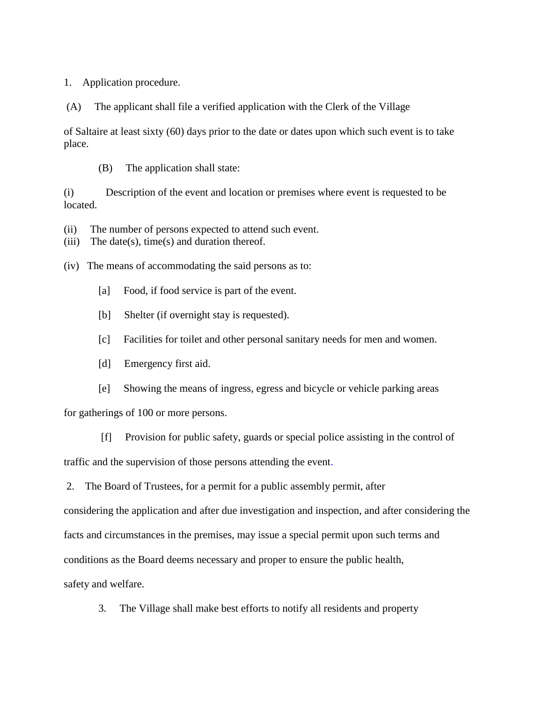1. Application procedure.

(A) The applicant shall file a verified application with the Clerk of the Village

of Saltaire at least sixty (60) days prior to the date or dates upon which such event is to take place.

(B) The application shall state:

(i) Description of the event and location or premises where event is requested to be located.

(ii) The number of persons expected to attend such event.

(iii) The date(s), time(s) and duration thereof.

(iv) The means of accommodating the said persons as to:

- [a] Food, if food service is part of the event.
- [b] Shelter (if overnight stay is requested).
- [c] Facilities for toilet and other personal sanitary needs for men and women.
- [d] Emergency first aid.
- [e] Showing the means of ingress, egress and bicycle or vehicle parking areas

for gatherings of 100 or more persons.

 [f] Provision for public safety, guards or special police assisting in the control of traffic and the supervision of those persons attending the event.

2. The Board of Trustees, for a permit for a public assembly permit, after

considering the application and after due investigation and inspection, and after considering the

facts and circumstances in the premises, may issue a special permit upon such terms and

conditions as the Board deems necessary and proper to ensure the public health,

safety and welfare.

3. The Village shall make best efforts to notify all residents and property